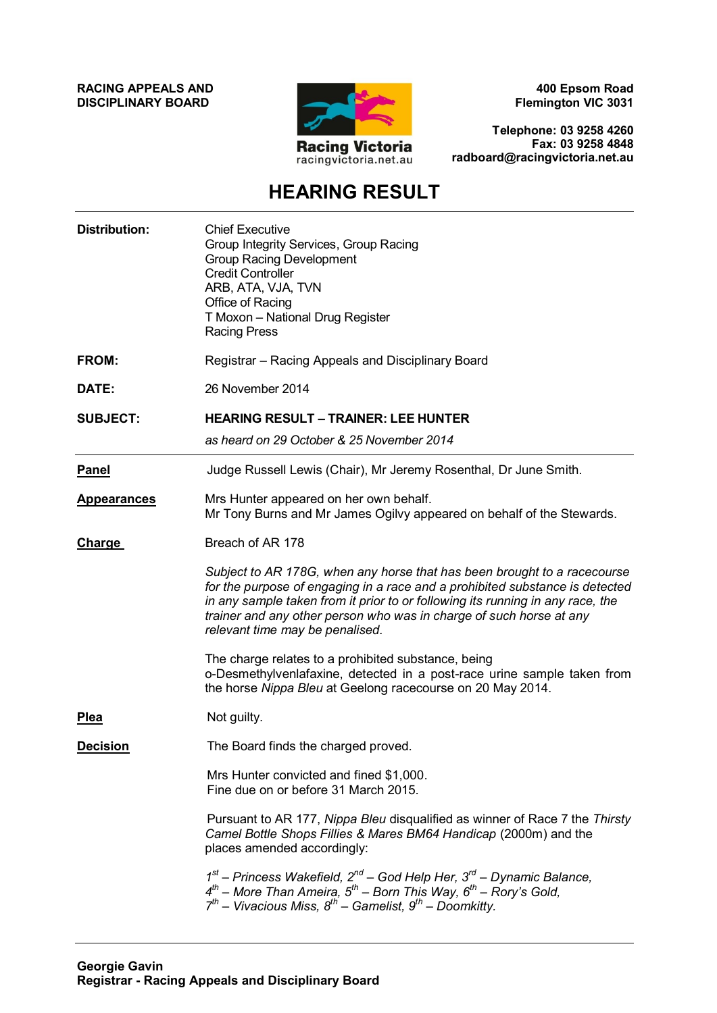**RACING APPEALS AND DISCIPLINARY BOARD**



**400 Epsom Road Flemington VIC 3031**

**Telephone: 03 9258 4260 Fax: 03 9258 4848 radboard@racingvictoria.net.au**

# **HEARING RESULT**

| <b>Distribution:</b> | <b>Chief Executive</b><br>Group Integrity Services, Group Racing<br><b>Group Racing Development</b><br><b>Credit Controller</b><br>ARB, ATA, VJA, TVN<br>Office of Racing<br>T Moxon - National Drug Register<br><b>Racing Press</b>                                                                                                                 |  |
|----------------------|------------------------------------------------------------------------------------------------------------------------------------------------------------------------------------------------------------------------------------------------------------------------------------------------------------------------------------------------------|--|
| FROM:                | Registrar - Racing Appeals and Disciplinary Board                                                                                                                                                                                                                                                                                                    |  |
| DATE:                | 26 November 2014                                                                                                                                                                                                                                                                                                                                     |  |
| <b>SUBJECT:</b>      | <b>HEARING RESULT - TRAINER: LEE HUNTER</b><br>as heard on 29 October & 25 November 2014                                                                                                                                                                                                                                                             |  |
| <b>Panel</b>         | Judge Russell Lewis (Chair), Mr Jeremy Rosenthal, Dr June Smith.                                                                                                                                                                                                                                                                                     |  |
| <b>Appearances</b>   | Mrs Hunter appeared on her own behalf.<br>Mr Tony Burns and Mr James Ogilvy appeared on behalf of the Stewards.                                                                                                                                                                                                                                      |  |
| <b>Charge</b>        | Breach of AR 178                                                                                                                                                                                                                                                                                                                                     |  |
|                      | Subject to AR 178G, when any horse that has been brought to a racecourse<br>for the purpose of engaging in a race and a prohibited substance is detected<br>in any sample taken from it prior to or following its running in any race, the<br>trainer and any other person who was in charge of such horse at any<br>relevant time may be penalised. |  |
|                      | The charge relates to a prohibited substance, being<br>o-Desmethylvenlafaxine, detected in a post-race urine sample taken from<br>the horse Nippa Bleu at Geelong racecourse on 20 May 2014.                                                                                                                                                         |  |
| <b>Plea</b>          | Not guilty.                                                                                                                                                                                                                                                                                                                                          |  |
| <b>Decision</b>      | The Board finds the charged proved.                                                                                                                                                                                                                                                                                                                  |  |
|                      | Mrs Hunter convicted and fined \$1,000.<br>Fine due on or before 31 March 2015.                                                                                                                                                                                                                                                                      |  |
|                      | Pursuant to AR 177, Nippa Bleu disqualified as winner of Race 7 the Thirsty<br>Camel Bottle Shops Fillies & Mares BM64 Handicap (2000m) and the<br>places amended accordingly:                                                                                                                                                                       |  |
|                      | $1st$ – Princess Wakefield, $2nd$ – God Help Her, $3rd$ – Dynamic Balance,<br>$4^{th}$ – More Than Ameira, $5^{th}$ – Born This Way, $6^{th}$ – Rory's Gold,<br>$7^{th}$ – Vivacious Miss, $8^{th}$ – Gamelist, $9^{th}$ – Doomkitty.                                                                                                                |  |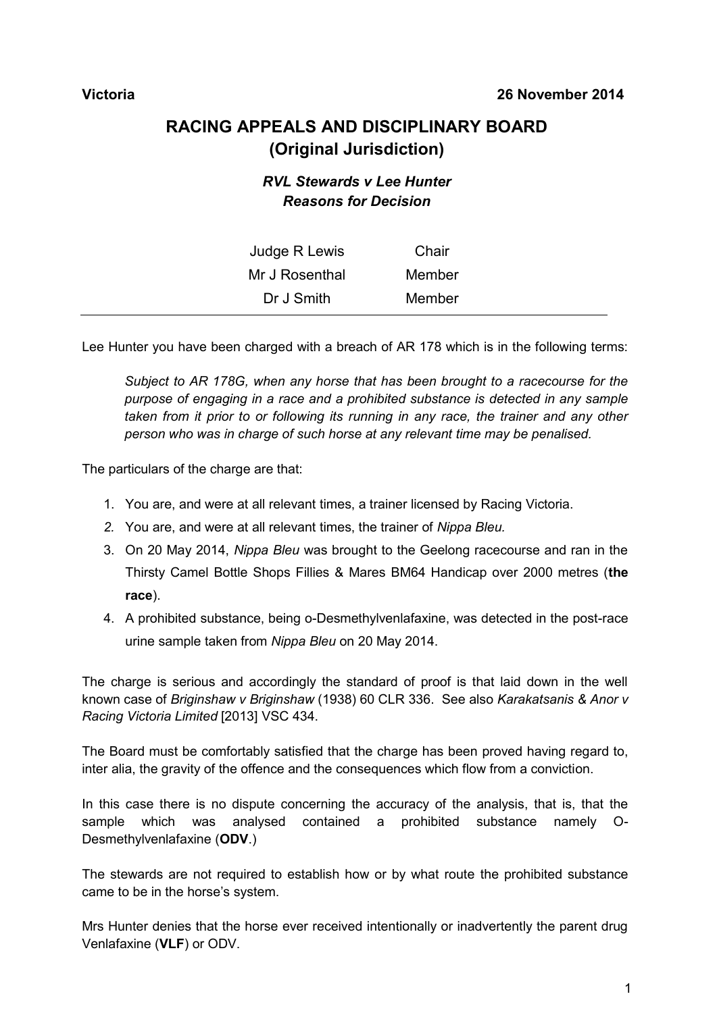## **RACING APPEALS AND DISCIPLINARY BOARD (Original Jurisdiction)**

### *RVL Stewards v Lee Hunter Reasons for Decision*

| Judge R Lewis  | Chair  |
|----------------|--------|
| Mr J Rosenthal | Member |
| Dr J Smith     | Member |

Lee Hunter you have been charged with a breach of AR 178 which is in the following terms:

*Subject to AR 178G, when any horse that has been brought to a racecourse for the purpose of engaging in a race and a prohibited substance is detected in any sample taken from it prior to or following its running in any race, the trainer and any other person who was in charge of such horse at any relevant time may be penalised.*

The particulars of the charge are that:

- 1. You are, and were at all relevant times, a trainer licensed by Racing Victoria.
- *2.* You are, and were at all relevant times, the trainer of *Nippa Bleu.*
- 3. On 20 May 2014, *Nippa Bleu* was brought to the Geelong racecourse and ran in the Thirsty Camel Bottle Shops Fillies & Mares BM64 Handicap over 2000 metres (**the race**).
- 4. A prohibited substance, being o-Desmethylvenlafaxine, was detected in the post-race urine sample taken from *Nippa Bleu* on 20 May 2014.

The charge is serious and accordingly the standard of proof is that laid down in the well known case of *Briginshaw v Briginshaw* (1938) 60 CLR 336. See also *Karakatsanis & Anor v Racing Victoria Limited* [2013] VSC 434.

The Board must be comfortably satisfied that the charge has been proved having regard to, inter alia, the gravity of the offence and the consequences which flow from a conviction.

In this case there is no dispute concerning the accuracy of the analysis, that is, that the sample which was analysed contained a prohibited substance namely O-Desmethylvenlafaxine (**ODV**.)

The stewards are not required to establish how or by what route the prohibited substance came to be in the horse's system.

Mrs Hunter denies that the horse ever received intentionally or inadvertently the parent drug Venlafaxine (**VLF**) or ODV.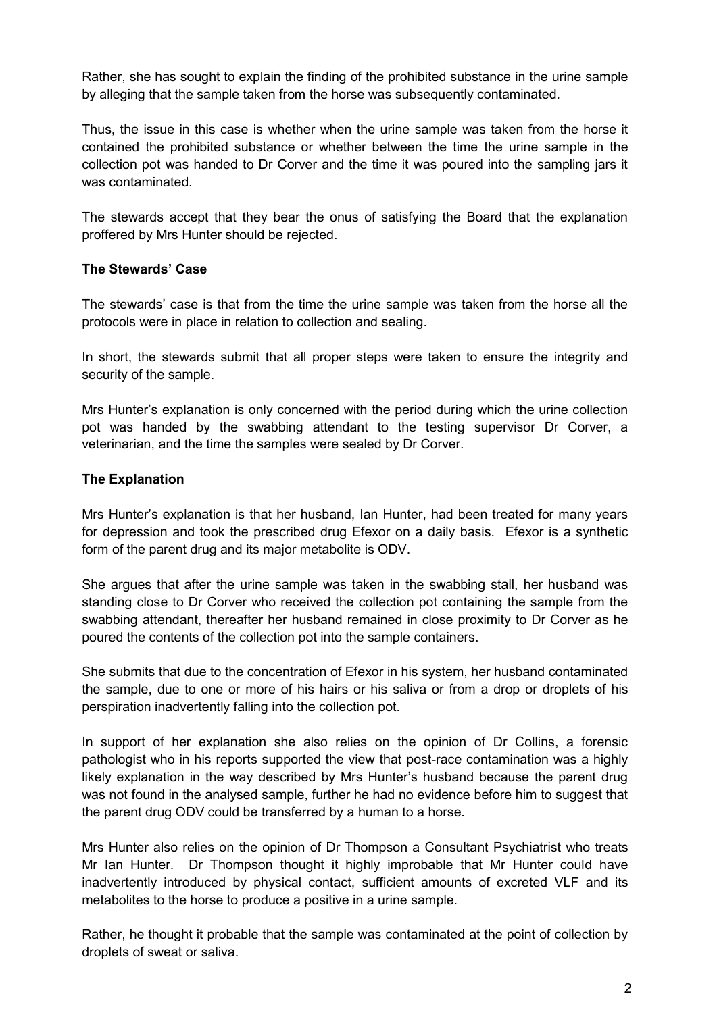Rather, she has sought to explain the finding of the prohibited substance in the urine sample by alleging that the sample taken from the horse was subsequently contaminated.

Thus, the issue in this case is whether when the urine sample was taken from the horse it contained the prohibited substance or whether between the time the urine sample in the collection pot was handed to Dr Corver and the time it was poured into the sampling jars it was contaminated.

The stewards accept that they bear the onus of satisfying the Board that the explanation proffered by Mrs Hunter should be rejected.

#### **The Stewards' Case**

The stewards' case is that from the time the urine sample was taken from the horse all the protocols were in place in relation to collection and sealing.

In short, the stewards submit that all proper steps were taken to ensure the integrity and security of the sample.

Mrs Hunter's explanation is only concerned with the period during which the urine collection pot was handed by the swabbing attendant to the testing supervisor Dr Corver, a veterinarian, and the time the samples were sealed by Dr Corver.

#### **The Explanation**

Mrs Hunter's explanation is that her husband, Ian Hunter, had been treated for many years for depression and took the prescribed drug Efexor on a daily basis. Efexor is a synthetic form of the parent drug and its major metabolite is ODV.

She argues that after the urine sample was taken in the swabbing stall, her husband was standing close to Dr Corver who received the collection pot containing the sample from the swabbing attendant, thereafter her husband remained in close proximity to Dr Corver as he poured the contents of the collection pot into the sample containers.

She submits that due to the concentration of Efexor in his system, her husband contaminated the sample, due to one or more of his hairs or his saliva or from a drop or droplets of his perspiration inadvertently falling into the collection pot.

In support of her explanation she also relies on the opinion of Dr Collins, a forensic pathologist who in his reports supported the view that post-race contamination was a highly likely explanation in the way described by Mrs Hunter's husband because the parent drug was not found in the analysed sample, further he had no evidence before him to suggest that the parent drug ODV could be transferred by a human to a horse.

Mrs Hunter also relies on the opinion of Dr Thompson a Consultant Psychiatrist who treats Mr Ian Hunter. Dr Thompson thought it highly improbable that Mr Hunter could have inadvertently introduced by physical contact, sufficient amounts of excreted VLF and its metabolites to the horse to produce a positive in a urine sample.

Rather, he thought it probable that the sample was contaminated at the point of collection by droplets of sweat or saliva.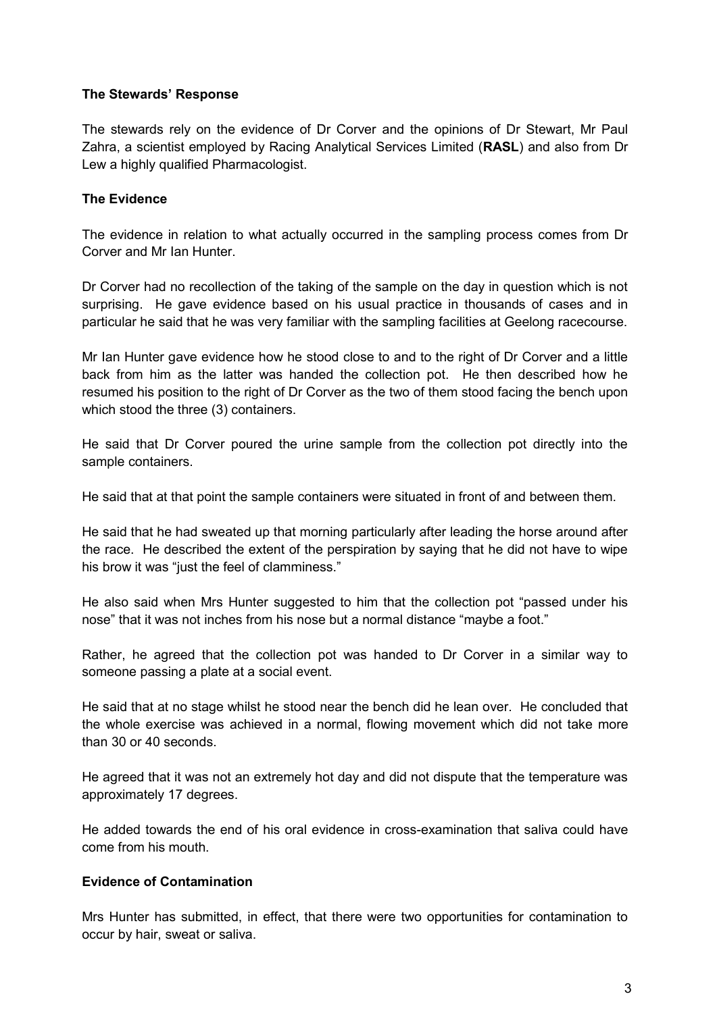#### **The Stewards' Response**

The stewards rely on the evidence of Dr Corver and the opinions of Dr Stewart, Mr Paul Zahra, a scientist employed by Racing Analytical Services Limited (**RASL**) and also from Dr Lew a highly qualified Pharmacologist.

#### **The Evidence**

The evidence in relation to what actually occurred in the sampling process comes from Dr Corver and Mr Ian Hunter.

Dr Corver had no recollection of the taking of the sample on the day in question which is not surprising. He gave evidence based on his usual practice in thousands of cases and in particular he said that he was very familiar with the sampling facilities at Geelong racecourse.

Mr Ian Hunter gave evidence how he stood close to and to the right of Dr Corver and a little back from him as the latter was handed the collection pot. He then described how he resumed his position to the right of Dr Corver as the two of them stood facing the bench upon which stood the three (3) containers.

He said that Dr Corver poured the urine sample from the collection pot directly into the sample containers.

He said that at that point the sample containers were situated in front of and between them.

He said that he had sweated up that morning particularly after leading the horse around after the race. He described the extent of the perspiration by saying that he did not have to wipe his brow it was "just the feel of clamminess."

He also said when Mrs Hunter suggested to him that the collection pot "passed under his nose" that it was not inches from his nose but a normal distance "maybe a foot."

Rather, he agreed that the collection pot was handed to Dr Corver in a similar way to someone passing a plate at a social event.

He said that at no stage whilst he stood near the bench did he lean over. He concluded that the whole exercise was achieved in a normal, flowing movement which did not take more than 30 or 40 seconds.

He agreed that it was not an extremely hot day and did not dispute that the temperature was approximately 17 degrees.

He added towards the end of his oral evidence in cross-examination that saliva could have come from his mouth.

#### **Evidence of Contamination**

Mrs Hunter has submitted, in effect, that there were two opportunities for contamination to occur by hair, sweat or saliva.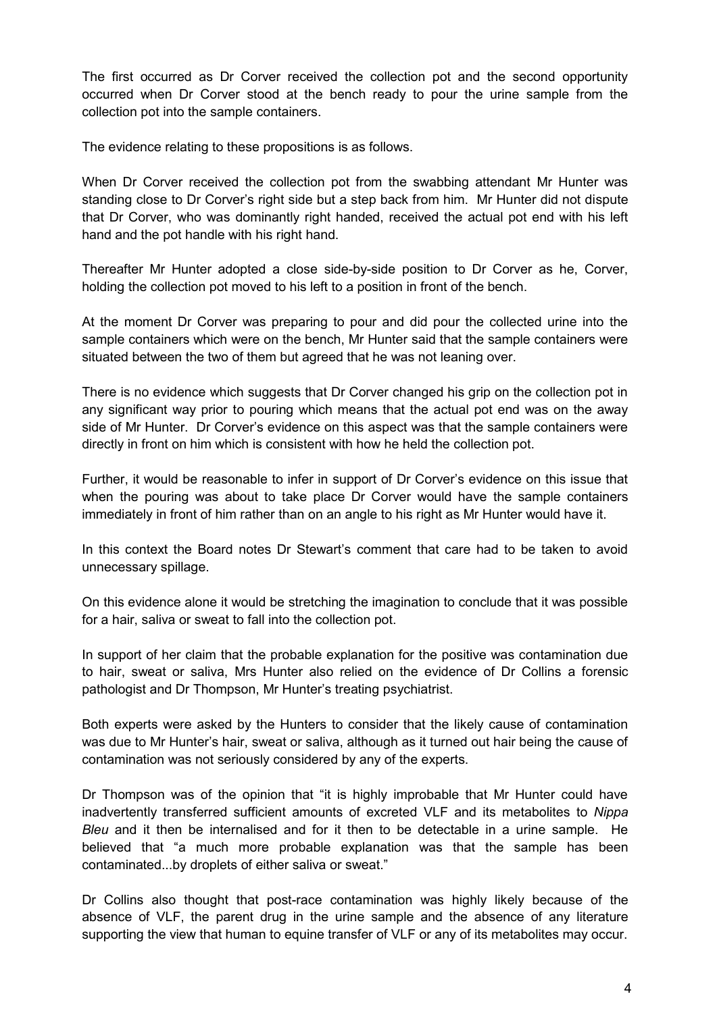The first occurred as Dr Corver received the collection pot and the second opportunity occurred when Dr Corver stood at the bench ready to pour the urine sample from the collection pot into the sample containers.

The evidence relating to these propositions is as follows.

When Dr Corver received the collection pot from the swabbing attendant Mr Hunter was standing close to Dr Corver's right side but a step back from him. Mr Hunter did not dispute that Dr Corver, who was dominantly right handed, received the actual pot end with his left hand and the pot handle with his right hand.

Thereafter Mr Hunter adopted a close side-by-side position to Dr Corver as he, Corver, holding the collection pot moved to his left to a position in front of the bench.

At the moment Dr Corver was preparing to pour and did pour the collected urine into the sample containers which were on the bench, Mr Hunter said that the sample containers were situated between the two of them but agreed that he was not leaning over.

There is no evidence which suggests that Dr Corver changed his grip on the collection pot in any significant way prior to pouring which means that the actual pot end was on the away side of Mr Hunter. Dr Corver's evidence on this aspect was that the sample containers were directly in front on him which is consistent with how he held the collection pot.

Further, it would be reasonable to infer in support of Dr Corver's evidence on this issue that when the pouring was about to take place Dr Corver would have the sample containers immediately in front of him rather than on an angle to his right as Mr Hunter would have it.

In this context the Board notes Dr Stewart's comment that care had to be taken to avoid unnecessary spillage.

On this evidence alone it would be stretching the imagination to conclude that it was possible for a hair, saliva or sweat to fall into the collection pot.

In support of her claim that the probable explanation for the positive was contamination due to hair, sweat or saliva, Mrs Hunter also relied on the evidence of Dr Collins a forensic pathologist and Dr Thompson, Mr Hunter's treating psychiatrist.

Both experts were asked by the Hunters to consider that the likely cause of contamination was due to Mr Hunter's hair, sweat or saliva, although as it turned out hair being the cause of contamination was not seriously considered by any of the experts.

Dr Thompson was of the opinion that "it is highly improbable that Mr Hunter could have inadvertently transferred sufficient amounts of excreted VLF and its metabolites to *Nippa Bleu* and it then be internalised and for it then to be detectable in a urine sample. He believed that "a much more probable explanation was that the sample has been contaminated...by droplets of either saliva or sweat."

Dr Collins also thought that post-race contamination was highly likely because of the absence of VLF, the parent drug in the urine sample and the absence of any literature supporting the view that human to equine transfer of VLF or any of its metabolites may occur.